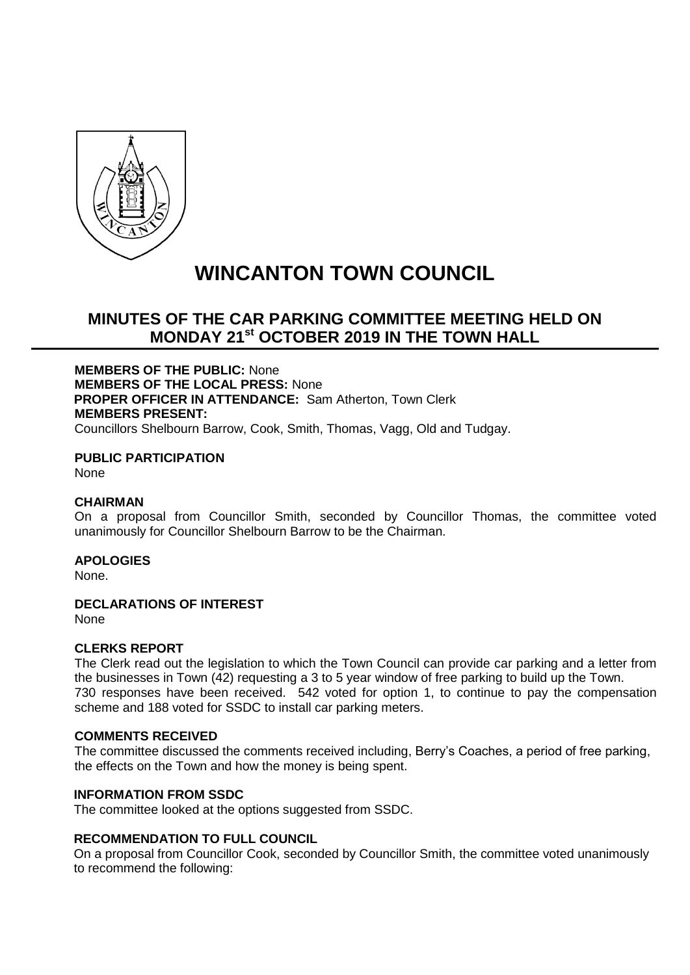

# **WINCANTON TOWN COUNCIL**

# **MINUTES OF THE CAR PARKING COMMITTEE MEETING HELD ON MONDAY 21st OCTOBER 2019 IN THE TOWN HALL**

**MEMBERS OF THE PUBLIC:** None **MEMBERS OF THE LOCAL PRESS:** None **PROPER OFFICER IN ATTENDANCE:** Sam Atherton, Town Clerk **MEMBERS PRESENT:** Councillors Shelbourn Barrow, Cook, Smith, Thomas, Vagg, Old and Tudgay.

**PUBLIC PARTICIPATION** None

#### **CHAIRMAN**

On a proposal from Councillor Smith, seconded by Councillor Thomas, the committee voted unanimously for Councillor Shelbourn Barrow to be the Chairman.

#### **APOLOGIES**

None.

# **DECLARATIONS OF INTEREST**

None

#### **CLERKS REPORT**

The Clerk read out the legislation to which the Town Council can provide car parking and a letter from the businesses in Town (42) requesting a 3 to 5 year window of free parking to build up the Town. 730 responses have been received. 542 voted for option 1, to continue to pay the compensation scheme and 188 voted for SSDC to install car parking meters.

# **COMMENTS RECEIVED**

The committee discussed the comments received including, Berry's Coaches, a period of free parking, the effects on the Town and how the money is being spent.

# **INFORMATION FROM SSDC**

The committee looked at the options suggested from SSDC.

# **RECOMMENDATION TO FULL COUNCIL**

On a proposal from Councillor Cook, seconded by Councillor Smith, the committee voted unanimously to recommend the following: